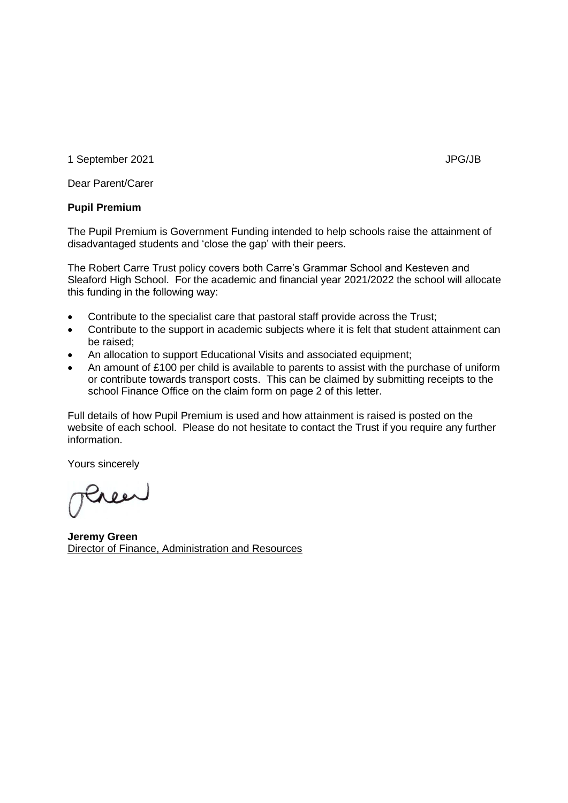1 September 2021 **JPG/JB** 

Dear Parent/Carer

## **Pupil Premium**

The Pupil Premium is Government Funding intended to help schools raise the attainment of disadvantaged students and 'close the gap' with their peers.

The Robert Carre Trust policy covers both Carre's Grammar School and Kesteven and Sleaford High School. For the academic and financial year 2021/2022 the school will allocate this funding in the following way:

- Contribute to the specialist care that pastoral staff provide across the Trust;
- Contribute to the support in academic subjects where it is felt that student attainment can be raised;
- An allocation to support Educational Visits and associated equipment;
- An amount of £100 per child is available to parents to assist with the purchase of uniform or contribute towards transport costs. This can be claimed by submitting receipts to the school Finance Office on the claim form on page 2 of this letter.

Full details of how Pupil Premium is used and how attainment is raised is posted on the website of each school. Please do not hesitate to contact the Trust if you require any further information.

Yours sincerely

Pree

**Jeremy Green** Director of Finance, Administration and Resources